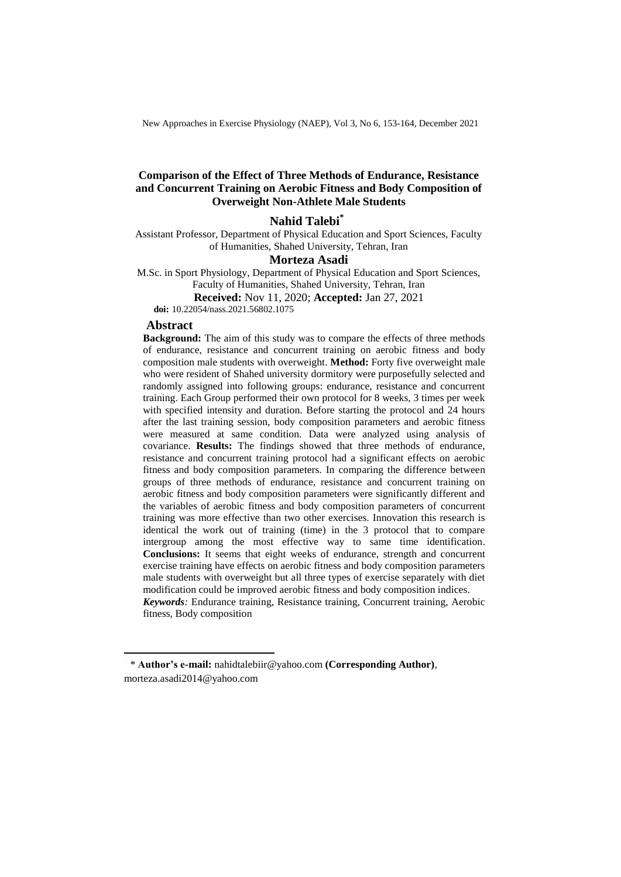New Approaches in Exercise Physiology (NAEP), Vol 3, No 6, 153-164, December 2021

#### **Comparison of the Effect of Three Methods of Endurance, Resistance and Concurrent Training on Aerobic Fitness and Body Composition of Overweight Non-Athlete Male Students**

#### **Nahid Talebi**<sup>\*</sup>

Assistant Professor, Department of Physical Education and Sport Sciences, Faculty of Humanities, Shahed University, Tehran, Iran

#### **Morteza Asadi**

M.Sc. in Sport Physiology, Department of Physical Education and Sport Sciences, Faculty of Humanities, Shahed University, Tehran, Iran

**Received:** Nov 11, 2020; **Accepted:** Jan 27, 2021

**doi:** 10.22054/nass.2021.56802.1075

#### **Abstract**

 $\overline{a}$ 

**Background:** The aim of this study was to compare the effects of three methods of endurance, resistance and concurrent training on aerobic fitness and body composition male students with overweight. **Method:** Forty five overweight male who were resident of Shahed university dormitory were purposefully selected and randomly assigned into following groups: endurance, resistance and concurrent training. Each Group performed their own protocol for 8 weeks, 3 times per week with specified intensity and duration. Before starting the protocol and 24 hours after the last training session, body composition parameters and aerobic fitness were measured at same condition. Data were analyzed using analysis of covariance. **Results:** The findings showed that three methods of endurance, resistance and concurrent training protocol had a significant effects on aerobic fitness and body composition parameters. In comparing the difference between groups of three methods of endurance, resistance and concurrent training on aerobic fitness and body composition parameters were significantly different and the variables of aerobic fitness and body composition parameters of concurrent training was more effective than two other exercises. Innovation this research is identical the work out of training (time) in the 3 protocol that to compare intergroup among the most effective way to same time identification. **Conclusions:** It seems that eight weeks of endurance, strength and concurrent exercise training have effects on aerobic fitness and body composition parameters male students with overweight but all three types of exercise separately with diet modification could be improved aerobic fitness and body composition indices. *Keywords:* Endurance training, Resistance training, Concurrent training, Aerobic fitness, Body composition

<sup>\*</sup> **Author's e-mail:** nahidtalebiir@yahoo.com **(Corresponding Author)**, morteza.asadi2014@yahoo.com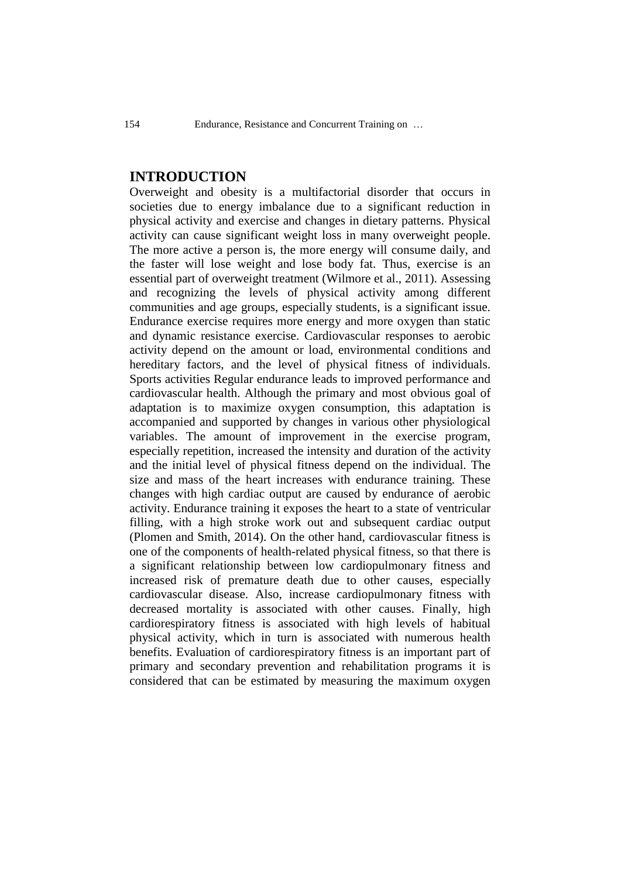# **INTRODUCTION**

Overweight and obesity is a multifactorial disorder that occurs in societies due to energy imbalance due to a significant reduction in physical activity and exercise and changes in dietary patterns. Physical activity can cause significant weight loss in many overweight people. The more active a person is, the more energy will consume daily, and the faster will lose weight and lose body fat. Thus, exercise is an essential part of overweight treatment (Wilmore et al., 2011). Assessing and recognizing the levels of physical activity among different communities and age groups, especially students, is a significant issue. Endurance exercise requires more energy and more oxygen than static and dynamic resistance exercise. Cardiovascular responses to aerobic activity depend on the amount or load, environmental conditions and hereditary factors, and the level of physical fitness of individuals. Sports activities Regular endurance leads to improved performance and cardiovascular health. Although the primary and most obvious goal of adaptation is to maximize oxygen consumption, this adaptation is accompanied and supported by changes in various other physiological variables. The amount of improvement in the exercise program, especially repetition, increased the intensity and duration of the activity and the initial level of physical fitness depend on the individual. The size and mass of the heart increases with endurance training. These changes with high cardiac output are caused by endurance of aerobic activity. Endurance training it exposes the heart to a state of ventricular filling, with a high stroke work out and subsequent cardiac output (Plomen and Smith, 2014). On the other hand, cardiovascular fitness is one of the components of health-related physical fitness, so that there is a significant relationship between low cardiopulmonary fitness and increased risk of premature death due to other causes, especially cardiovascular disease. Also, increase cardiopulmonary fitness with decreased mortality is associated with other causes. Finally, high cardiorespiratory fitness is associated with high levels of habitual physical activity, which in turn is associated with numerous health benefits. Evaluation of cardiorespiratory fitness is an important part of primary and secondary prevention and rehabilitation programs it is considered that can be estimated by measuring the maximum oxygen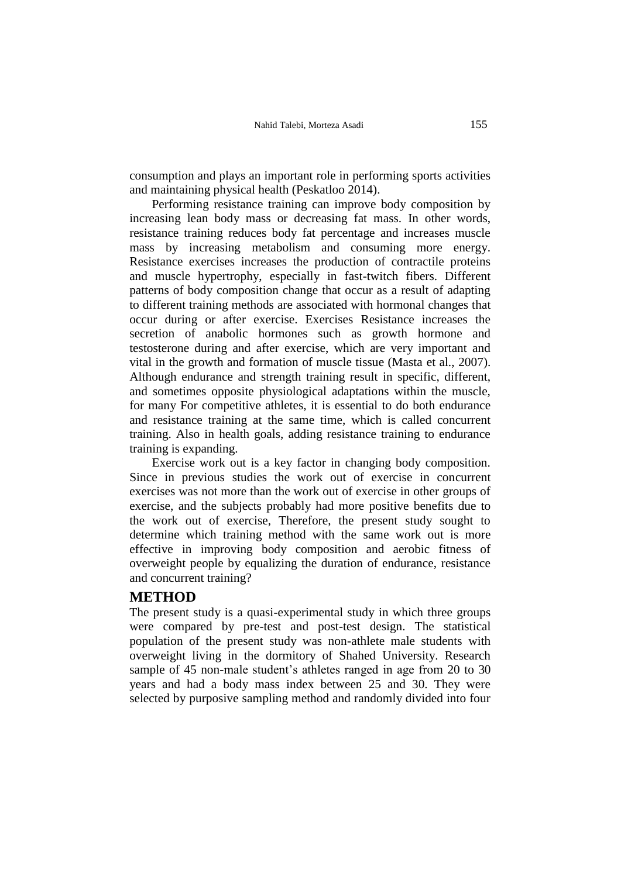consumption and plays an important role in performing sports activities and maintaining physical health (Peskatloo 2014).

Performing resistance training can improve body composition by increasing lean body mass or decreasing fat mass. In other words, resistance training reduces body fat percentage and increases muscle mass by increasing metabolism and consuming more energy. Resistance exercises increases the production of contractile proteins and muscle hypertrophy, especially in fast-twitch fibers. Different patterns of body composition change that occur as a result of adapting to different training methods are associated with hormonal changes that occur during or after exercise. Exercises Resistance increases the secretion of anabolic hormones such as growth hormone and testosterone during and after exercise, which are very important and vital in the growth and formation of muscle tissue (Masta et al., 2007). Although endurance and strength training result in specific, different, and sometimes opposite physiological adaptations within the muscle, for many For competitive athletes, it is essential to do both endurance and resistance training at the same time, which is called concurrent training. Also in health goals, adding resistance training to endurance training is expanding.

Exercise work out is a key factor in changing body composition. Since in previous studies the work out of exercise in concurrent exercises was not more than the work out of exercise in other groups of exercise, and the subjects probably had more positive benefits due to the work out of exercise, Therefore, the present study sought to determine which training method with the same work out is more effective in improving body composition and aerobic fitness of overweight people by equalizing the duration of endurance, resistance and concurrent training?

### **METHOD**

The present study is a quasi-experimental study in which three groups were compared by pre-test and post-test design. The statistical population of the present study was non-athlete male students with overweight living in the dormitory of Shahed University. Research sample of 45 non-male student's athletes ranged in age from 20 to 30 years and had a body mass index between 25 and 30. They were selected by purposive sampling method and randomly divided into four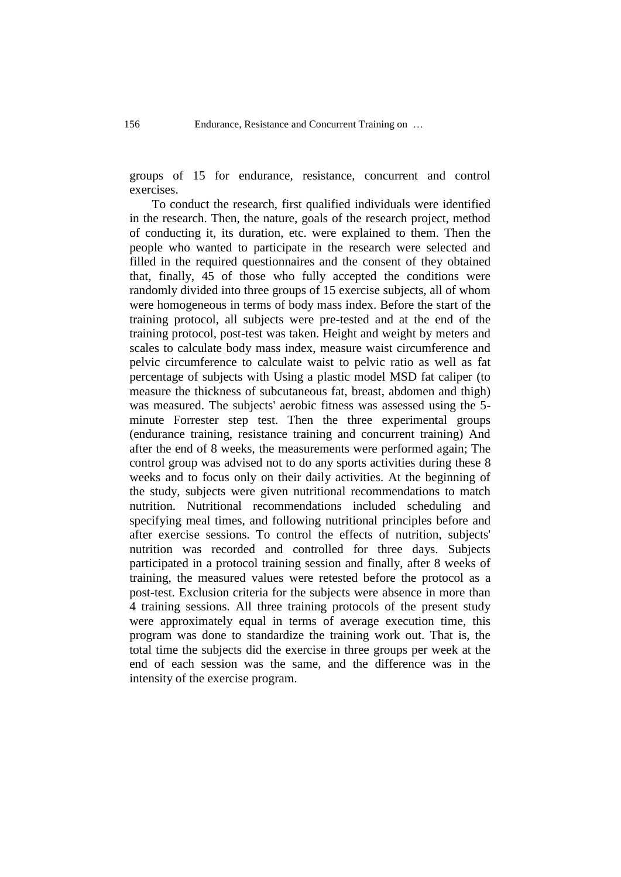groups of 15 for endurance, resistance, concurrent and control exercises.

To conduct the research, first qualified individuals were identified in the research. Then, the nature, goals of the research project, method of conducting it, its duration, etc. were explained to them. Then the people who wanted to participate in the research were selected and filled in the required questionnaires and the consent of they obtained that, finally, 45 of those who fully accepted the conditions were randomly divided into three groups of 15 exercise subjects, all of whom were homogeneous in terms of body mass index. Before the start of the training protocol, all subjects were pre-tested and at the end of the training protocol, post-test was taken. Height and weight by meters and scales to calculate body mass index, measure waist circumference and pelvic circumference to calculate waist to pelvic ratio as well as fat percentage of subjects with Using a plastic model MSD fat caliper (to measure the thickness of subcutaneous fat, breast, abdomen and thigh) was measured. The subjects' aerobic fitness was assessed using the 5 minute Forrester step test. Then the three experimental groups (endurance training, resistance training and concurrent training) And after the end of 8 weeks, the measurements were performed again; The control group was advised not to do any sports activities during these 8 weeks and to focus only on their daily activities. At the beginning of the study, subjects were given nutritional recommendations to match nutrition. Nutritional recommendations included scheduling and specifying meal times, and following nutritional principles before and after exercise sessions. To control the effects of nutrition, subjects' nutrition was recorded and controlled for three days. Subjects participated in a protocol training session and finally, after 8 weeks of training, the measured values were retested before the protocol as a post-test. Exclusion criteria for the subjects were absence in more than 4 training sessions. All three training protocols of the present study were approximately equal in terms of average execution time, this program was done to standardize the training work out. That is, the total time the subjects did the exercise in three groups per week at the end of each session was the same, and the difference was in the intensity of the exercise program.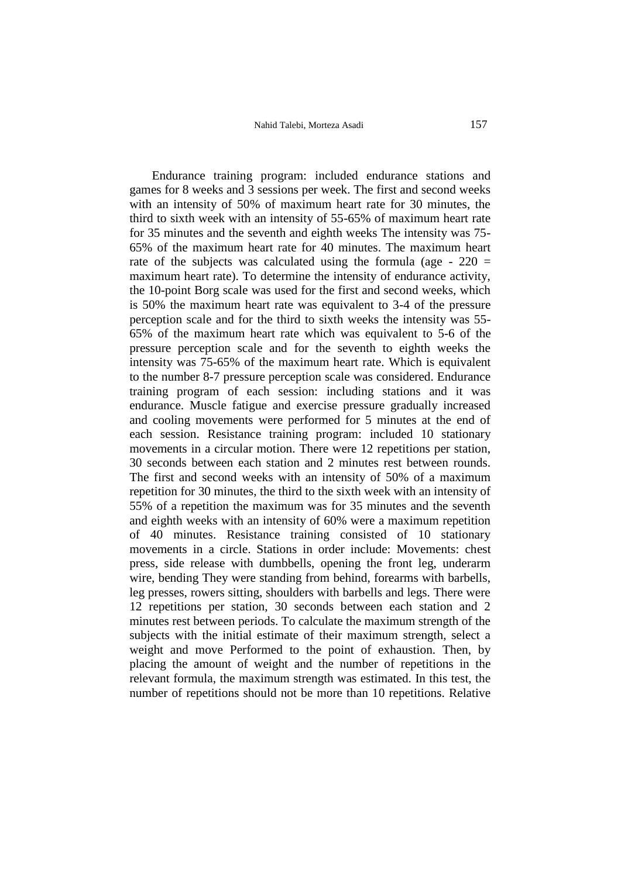Endurance training program: included endurance stations and games for 8 weeks and 3 sessions per week. The first and second weeks with an intensity of 50% of maximum heart rate for 30 minutes, the third to sixth week with an intensity of 55-65% of maximum heart rate for 35 minutes and the seventh and eighth weeks The intensity was 75- 65% of the maximum heart rate for 40 minutes. The maximum heart rate of the subjects was calculated using the formula (age -  $220 =$ maximum heart rate). To determine the intensity of endurance activity, the 10-point Borg scale was used for the first and second weeks, which is 50% the maximum heart rate was equivalent to 3-4 of the pressure perception scale and for the third to sixth weeks the intensity was 55- 65% of the maximum heart rate which was equivalent to 5-6 of the pressure perception scale and for the seventh to eighth weeks the intensity was 75-65% of the maximum heart rate. Which is equivalent to the number 8-7 pressure perception scale was considered. Endurance training program of each session: including stations and it was endurance. Muscle fatigue and exercise pressure gradually increased and cooling movements were performed for 5 minutes at the end of each session. Resistance training program: included 10 stationary movements in a circular motion. There were 12 repetitions per station, 30 seconds between each station and 2 minutes rest between rounds. The first and second weeks with an intensity of 50% of a maximum repetition for 30 minutes, the third to the sixth week with an intensity of 55% of a repetition the maximum was for 35 minutes and the seventh and eighth weeks with an intensity of 60% were a maximum repetition of 40 minutes. Resistance training consisted of 10 stationary movements in a circle. Stations in order include: Movements: chest press, side release with dumbbells, opening the front leg, underarm wire, bending They were standing from behind, forearms with barbells, leg presses, rowers sitting, shoulders with barbells and legs. There were 12 repetitions per station, 30 seconds between each station and 2 minutes rest between periods. To calculate the maximum strength of the subjects with the initial estimate of their maximum strength, select a weight and move Performed to the point of exhaustion. Then, by placing the amount of weight and the number of repetitions in the relevant formula, the maximum strength was estimated. In this test, the number of repetitions should not be more than 10 repetitions. Relative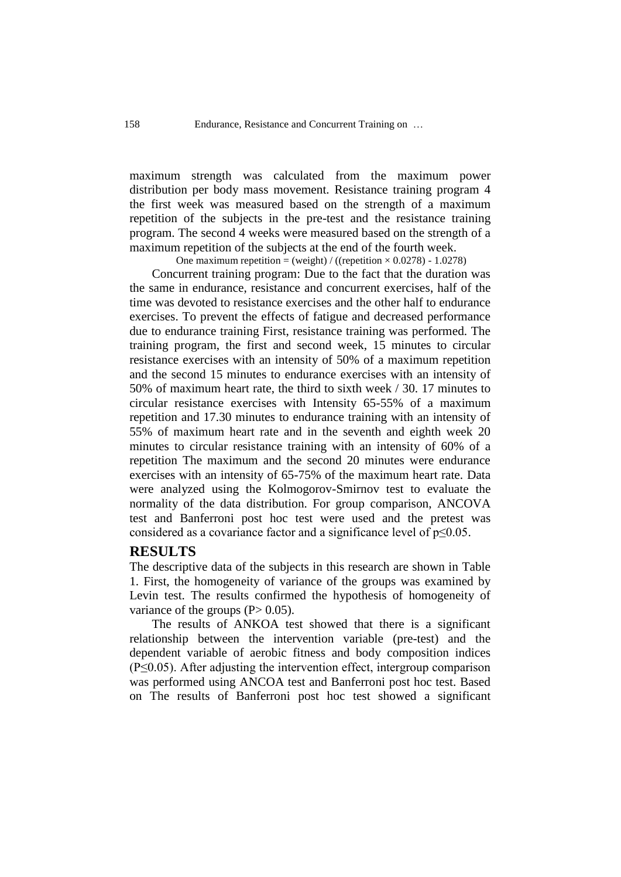maximum strength was calculated from the maximum power distribution per body mass movement. Resistance training program 4 the first week was measured based on the strength of a maximum repetition of the subjects in the pre-test and the resistance training program. The second 4 weeks were measured based on the strength of a maximum repetition of the subjects at the end of the fourth week.

One maximum repetition = (weight) / ((repetition  $\times$  0.0278) - 1.0278)

Concurrent training program: Due to the fact that the duration was the same in endurance, resistance and concurrent exercises, half of the time was devoted to resistance exercises and the other half to endurance exercises. To prevent the effects of fatigue and decreased performance due to endurance training First, resistance training was performed. The training program, the first and second week, 15 minutes to circular resistance exercises with an intensity of 50% of a maximum repetition and the second 15 minutes to endurance exercises with an intensity of 50% of maximum heart rate, the third to sixth week / 30. 17 minutes to circular resistance exercises with Intensity 65-55% of a maximum repetition and 17.30 minutes to endurance training with an intensity of 55% of maximum heart rate and in the seventh and eighth week 20 minutes to circular resistance training with an intensity of 60% of a repetition The maximum and the second 20 minutes were endurance exercises with an intensity of 65-75% of the maximum heart rate. Data were analyzed using the Kolmogorov-Smirnov test to evaluate the normality of the data distribution. For group comparison, ANCOVA test and Banferroni post hoc test were used and the pretest was considered as a covariance factor and a significance level of  $p \leq 0.05$ .

# **RESULTS**

The descriptive data of the subjects in this research are shown in Table 1. First, the homogeneity of variance of the groups was examined by Levin test. The results confirmed the hypothesis of homogeneity of variance of the groups  $(P> 0.05)$ .

The results of ANKOA test showed that there is a significant relationship between the intervention variable (pre-test) and the dependent variable of aerobic fitness and body composition indices  $(P \le 0.05)$ . After adjusting the intervention effect, intergroup comparison was performed using ANCOA test and Banferroni post hoc test. Based on The results of Banferroni post hoc test showed a significant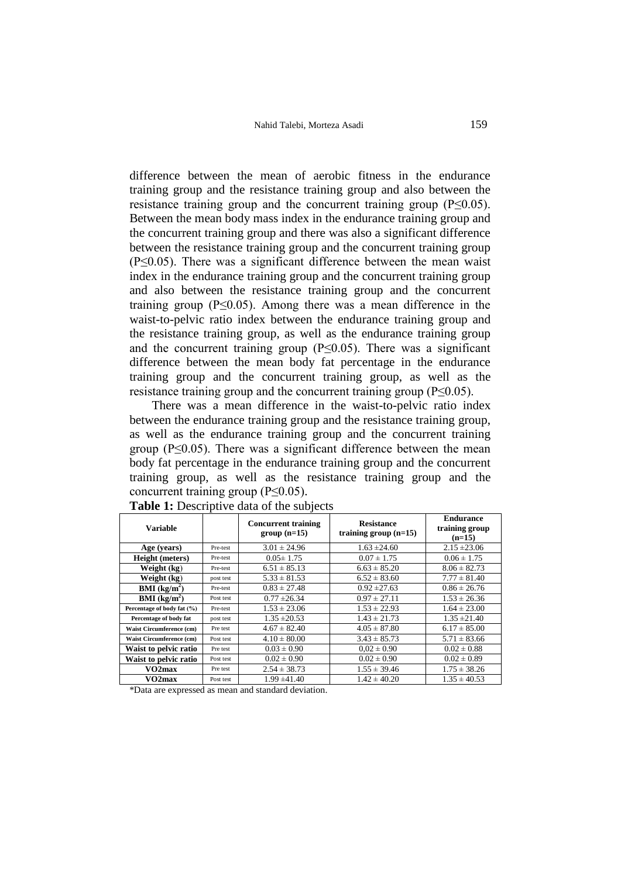difference between the mean of aerobic fitness in the endurance training group and the resistance training group and also between the resistance training group and the concurrent training group (P≤0.05). Between the mean body mass index in the endurance training group and the concurrent training group and there was also a significant difference between the resistance training group and the concurrent training group (P≤0.05). There was a significant difference between the mean waist index in the endurance training group and the concurrent training group and also between the resistance training group and the concurrent training group ( $P \leq 0.05$ ). Among there was a mean difference in the waist-to-pelvic ratio index between the endurance training group and the resistance training group, as well as the endurance training group and the concurrent training group ( $P \leq 0.05$ ). There was a significant difference between the mean body fat percentage in the endurance training group and the concurrent training group, as well as the resistance training group and the concurrent training group ( $P \le 0.05$ ).

There was a mean difference in the waist-to-pelvic ratio index between the endurance training group and the resistance training group, as well as the endurance training group and the concurrent training group ( $P \le 0.05$ ). There was a significant difference between the mean body fat percentage in the endurance training group and the concurrent training group, as well as the resistance training group and the concurrent training group ( $P \le 0.05$ ).

| Variable                   |           | <b>Concurrent training</b><br>$group(n=15)$ | <b>Resistance</b><br>training group $(n=15)$ | <b>Endurance</b><br>training group<br>$(n=15)$ |
|----------------------------|-----------|---------------------------------------------|----------------------------------------------|------------------------------------------------|
| Age (years)                | Pre-test  | $3.01 \pm 24.96$                            | $1.63 \pm 24.60$                             | $2.15 \pm 23.06$                               |
| <b>Height</b> (meters)     | Pre-test  | $0.05 \pm 1.75$                             | $0.07 \pm 1.75$                              | $0.06 \pm 1.75$                                |
| Weight (kg)                | Pre-test  | $6.51 \pm 85.13$                            | $6.63 \pm 85.20$                             | $8.06 \pm 82.73$                               |
| Weight (kg)                | post test | $5.33 \pm 81.53$                            | $6.52 \pm 83.60$                             | $7.77 \pm 81.40$                               |
| BMI (kg/m <sup>2</sup> )   | Pre-test  | $0.83 \pm 27.48$                            | $0.92 \pm 27.63$                             | $0.86 \pm 26.76$                               |
| BMI (kg/m <sup>2</sup> )   | Post test | $0.77 \pm 26.34$                            | $0.97 \pm 27.11$                             | $1.53 \pm 26.36$                               |
| Percentage of body fat (%) | Pre-test  | $1.53 \pm 23.06$                            | $1.53 \pm 22.93$                             | $1.64 \pm 23.00$                               |
| Percentage of body fat     | post test | $1.35 \pm 20.53$                            | $1.43 \pm 21.73$                             | $1.35 \pm 21.40$                               |
| Waist Circumference (cm)   | Pre test  | $4.67 \pm 82.40$                            | $4.05 \pm 87.80$                             | $6.17 \pm 85.00$                               |
| Waist Circumference (cm)   | Post test | $4.10 \pm 80.00$                            | $3.43 \pm 85.73$                             | $5.71 \pm 83.66$                               |
| Waist to pelvic ratio      | Pre test  | $0.03 \pm 0.90$                             | $0.02 \pm 0.90$                              | $0.02 \pm 0.88$                                |
| Waist to pelvic ratio      | Post test | $0.02 \pm 0.90$                             | $0.02 \pm 0.90$                              | $0.02 \pm 0.89$                                |
| VO2max                     | Pre test  | $2.54 \pm 38.73$                            | $1.55 \pm 39.46$                             | $1.75 \pm 38.26$                               |
| VO2max                     | Post test | $1.99 \pm 41.40$                            | $1.42 \pm 40.20$                             | $1.35 \pm 40.53$                               |

**Table 1:** Descriptive data of the subjects

\*Data are expressed as mean and standard deviation.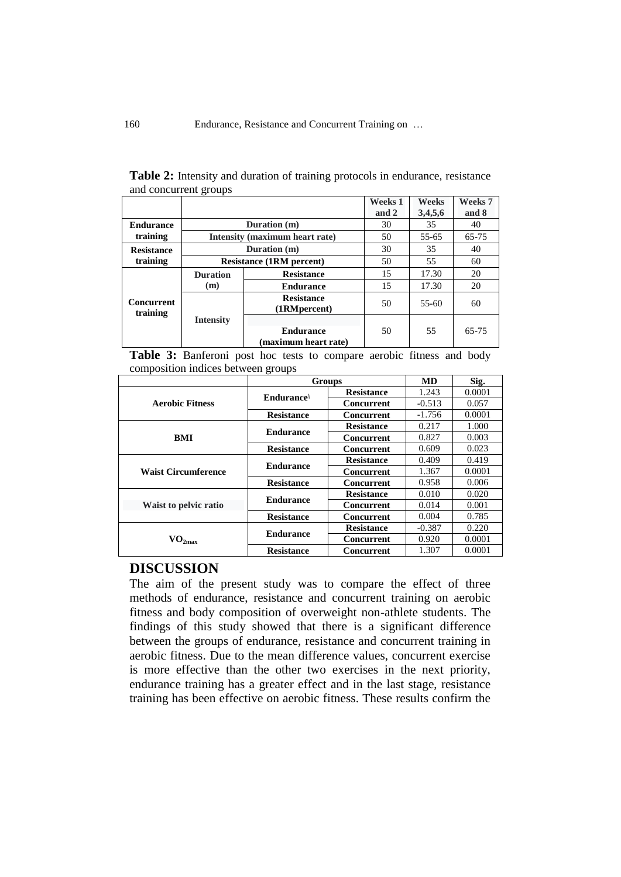|                               |                                 |                                    | <b>Weeks 1</b> | Weeks     | Weeks 7 |
|-------------------------------|---------------------------------|------------------------------------|----------------|-----------|---------|
|                               |                                 |                                    | and 2          | 3,4,5,6   | and 8   |
| <b>Endurance</b><br>training  | Duration (m)                    |                                    | 30             | 35        | 40      |
|                               | Intensity (maximum heart rate)  |                                    | 50             | 55-65     | 65-75   |
| <b>Resistance</b><br>training | Duration (m)                    |                                    | 30             | 35        | 40      |
|                               | <b>Resistance (1RM percent)</b> |                                    | 50             | 55        | 60      |
| Concurrent<br>training        | <b>Duration</b>                 | <b>Resistance</b>                  | 15             | 17.30     | 20      |
|                               | (m)                             | <b>Endurance</b>                   | 15             | 17.30     | 20      |
|                               |                                 | <b>Resistance</b><br>(1RM percent) | 50             | $55 - 60$ | 60      |
|                               | <b>Intensity</b>                |                                    |                |           |         |
|                               |                                 | <b>Endurance</b>                   | 50             | 55        | 65-75   |
|                               |                                 | (maximum heart rate)               |                |           |         |

**Table 2:** Intensity and duration of training protocols in endurance, resistance and concurrent groups

Table 3: Banferoni post hoc tests to compare aerobic fitness and body composition indices between groups

|                            | <b>Groups</b>     |                   | <b>MD</b> | Sig.   |
|----------------------------|-------------------|-------------------|-----------|--------|
|                            | Endurance         | <b>Resistance</b> | 1.243     | 0.0001 |
| <b>Aerobic Fitness</b>     |                   | Concurrent        | $-0.513$  | 0.057  |
|                            | <b>Resistance</b> | Concurrent        | $-1.756$  | 0.0001 |
| BMI                        | <b>Endurance</b>  | <b>Resistance</b> | 0.217     | 1.000  |
|                            |                   | Concurrent        | 0.827     | 0.003  |
|                            | <b>Resistance</b> | <b>Concurrent</b> | 0.609     | 0.023  |
|                            | <b>Endurance</b>  | <b>Resistance</b> | 0.409     | 0.419  |
| <b>Waist Circumference</b> |                   | <b>Concurrent</b> | 1.367     | 0.0001 |
|                            | <b>Resistance</b> | <b>Concurrent</b> | 0.958     | 0.006  |
| Waist to pelvic ratio      | <b>Endurance</b>  | <b>Resistance</b> | 0.010     | 0.020  |
|                            |                   | Concurrent        | 0.014     | 0.001  |
|                            | <b>Resistance</b> | Concurrent        | 0.004     | 0.785  |
|                            | <b>Endurance</b>  | <b>Resistance</b> | $-0.387$  | 0.220  |
| $O_{2max}$                 |                   | Concurrent        | 0.920     | 0.0001 |
|                            | <b>Resistance</b> | Concurrent        | 1.307     | 0.0001 |

# **DISCUSSION**

The aim of the present study was to compare the effect of three methods of endurance, resistance and concurrent training on aerobic fitness and body composition of overweight non-athlete students. The findings of this study showed that there is a significant difference between the groups of endurance, resistance and concurrent training in aerobic fitness. Due to the mean difference values, concurrent exercise is more effective than the other two exercises in the next priority, endurance training has a greater effect and in the last stage, resistance training has been effective on aerobic fitness. These results confirm the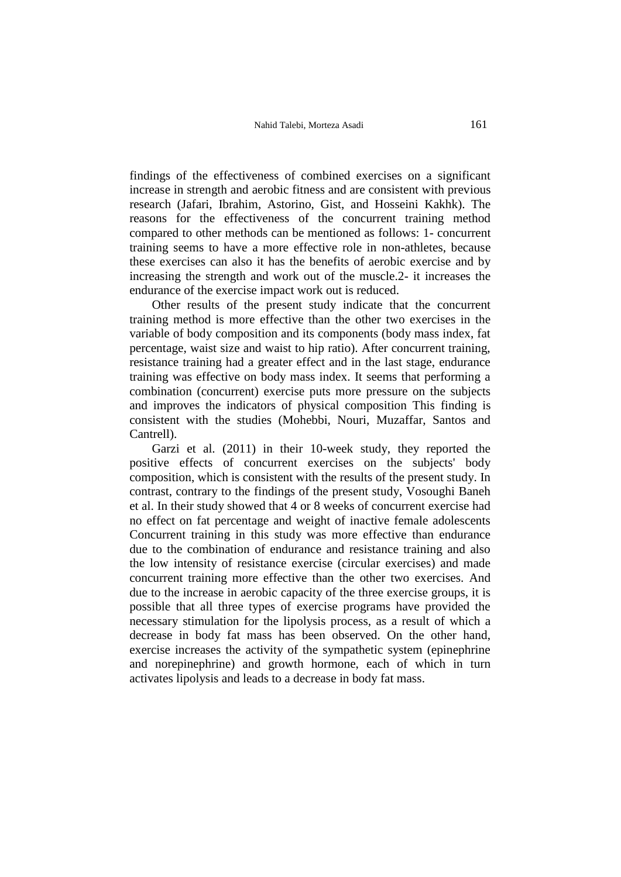findings of the effectiveness of combined exercises on a significant increase in strength and aerobic fitness and are consistent with previous research (Jafari, Ibrahim, Astorino, Gist, and Hosseini Kakhk). The reasons for the effectiveness of the concurrent training method compared to other methods can be mentioned as follows: 1- concurrent training seems to have a more effective role in non-athletes, because these exercises can also it has the benefits of aerobic exercise and by increasing the strength and work out of the muscle.2- it increases the endurance of the exercise impact work out is reduced.

Other results of the present study indicate that the concurrent training method is more effective than the other two exercises in the variable of body composition and its components (body mass index, fat percentage, waist size and waist to hip ratio). After concurrent training, resistance training had a greater effect and in the last stage, endurance training was effective on body mass index. It seems that performing a combination (concurrent) exercise puts more pressure on the subjects and improves the indicators of physical composition This finding is consistent with the studies (Mohebbi, Nouri, Muzaffar, Santos and Cantrell).

Garzi et al. (2011) in their 10-week study, they reported the positive effects of concurrent exercises on the subjects' body composition, which is consistent with the results of the present study. In contrast, contrary to the findings of the present study, Vosoughi Baneh et al. In their study showed that 4 or 8 weeks of concurrent exercise had no effect on fat percentage and weight of inactive female adolescents Concurrent training in this study was more effective than endurance due to the combination of endurance and resistance training and also the low intensity of resistance exercise (circular exercises) and made concurrent training more effective than the other two exercises. And due to the increase in aerobic capacity of the three exercise groups, it is possible that all three types of exercise programs have provided the necessary stimulation for the lipolysis process, as a result of which a decrease in body fat mass has been observed. On the other hand, exercise increases the activity of the sympathetic system (epinephrine and norepinephrine) and growth hormone, each of which in turn activates lipolysis and leads to a decrease in body fat mass.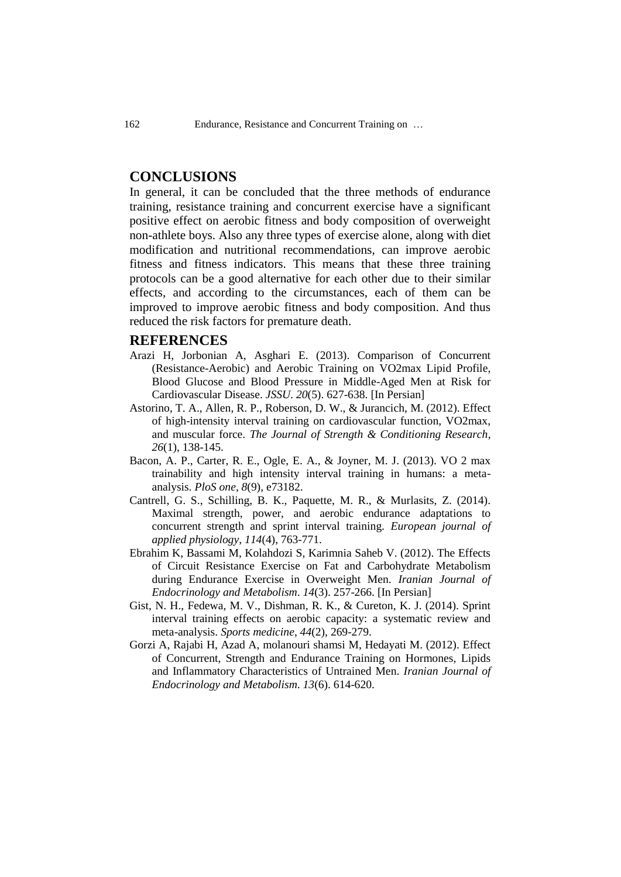# **CONCLUSIONS**

In general, it can be concluded that the three methods of endurance training, resistance training and concurrent exercise have a significant positive effect on aerobic fitness and body composition of overweight non-athlete boys. Also any three types of exercise alone, along with diet modification and nutritional recommendations, can improve aerobic fitness and fitness indicators. This means that these three training protocols can be a good alternative for each other due to their similar effects, and according to the circumstances, each of them can be improved to improve aerobic fitness and body composition. And thus reduced the risk factors for premature death.

## **REFERENCES**

- Arazi H, Jorbonian A, Asghari E. (2013). Comparison of Concurrent (Resistance-Aerobic) and Aerobic Training on VO2max Lipid Profile, Blood Glucose and Blood Pressure in Middle-Aged Men at Risk for Cardiovascular Disease. *JSSU*. *20*(5). 627-638. [In Persian]
- Astorino, T. A., Allen, R. P., Roberson, D. W., & Jurancich, M. (2012). Effect of high-intensity interval training on cardiovascular function, VO2max, and muscular force. *The Journal of Strength & Conditioning Research*, *26*(1), 138-145.
- Bacon, A. P., Carter, R. E., Ogle, E. A., & Joyner, M. J. (2013). VO 2 max trainability and high intensity interval training in humans: a metaanalysis. *PloS one*, *8*(9), e73182.
- Cantrell, G. S., Schilling, B. K., Paquette, M. R., & Murlasits, Z. (2014). Maximal strength, power, and aerobic endurance adaptations to concurrent strength and sprint interval training. *European journal of applied physiology*, *114*(4), 763-771.
- Ebrahim K, Bassami M, Kolahdozi S, Karimnia Saheb V. (2012). The Effects of Circuit Resistance Exercise on Fat and Carbohydrate Metabolism during Endurance Exercise in Overweight Men. *Iranian Journal of Endocrinology and Metabolism*. *14*(3). 257-266. [In Persian]
- Gist, N. H., Fedewa, M. V., Dishman, R. K., & Cureton, K. J. (2014). Sprint interval training effects on aerobic capacity: a systematic review and meta-analysis. *Sports medicine*, *44*(2), 269-279.
- Gorzi A, Rajabi H, Azad A, molanouri shamsi M, Hedayati M. (2012). Effect of Concurrent, Strength and Endurance Training on Hormones, Lipids and Inflammatory Characteristics of Untrained Men. *Iranian Journal of Endocrinology and Metabolism*. *13*(6). 614-620.